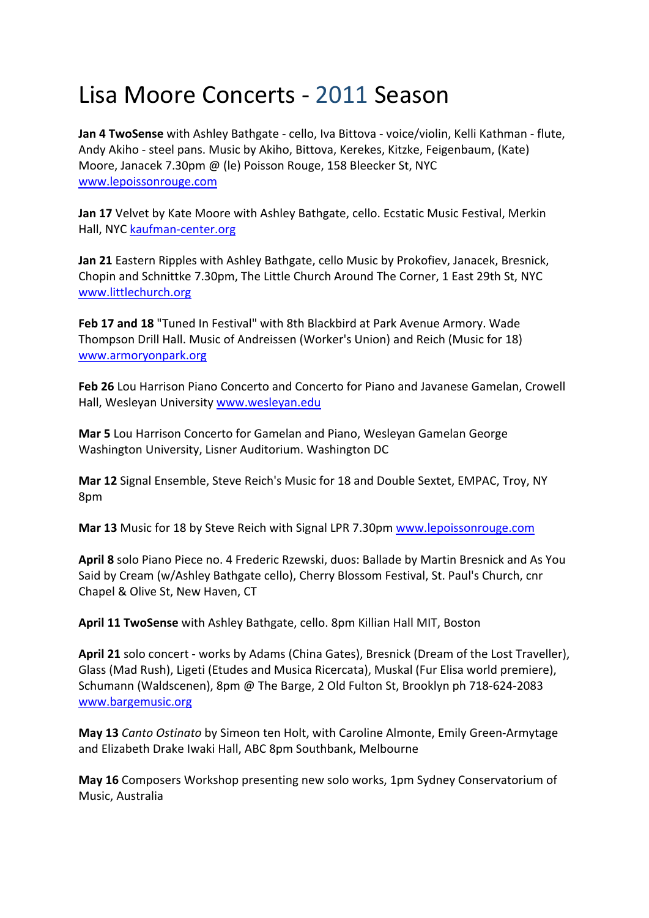## Lisa Moore Concerts ‐ 2011 Season

**Jan 4 TwoSense** with Ashley Bathgate ‐ cello, Iva Bittova ‐ voice/violin, Kelli Kathman ‐ flute, Andy Akiho ‐ steel pans. Music by Akiho, Bittova, Kerekes, Kitzke, Feigenbaum, (Kate) Moore, Janacek 7.30pm @ (le) Poisson Rouge, 158 Bleecker St, NYC www.lepoissonrouge.com

**Jan 17** Velvet by Kate Moore with Ashley Bathgate, cello. Ecstatic Music Festival, Merkin Hall, NYC kaufman‐center.org

**Jan 21** Eastern Ripples with Ashley Bathgate, cello Music by Prokofiev, Janacek, Bresnick, Chopin and Schnittke 7.30pm, The Little Church Around The Corner, 1 East 29th St, NYC www.littlechurch.org

**Feb 17 and 18** "Tuned In Festival" with 8th Blackbird at Park Avenue Armory. Wade Thompson Drill Hall. Music of Andreissen (Worker's Union) and Reich (Music for 18) www.armoryonpark.org

**Feb 26** Lou Harrison Piano Concerto and Concerto for Piano and Javanese Gamelan, Crowell Hall, Wesleyan University www.wesleyan.edu

**Mar 5** Lou Harrison Concerto for Gamelan and Piano, Wesleyan Gamelan George Washington University, Lisner Auditorium. Washington DC

**Mar 12** Signal Ensemble, Steve Reich's Music for 18 and Double Sextet, EMPAC, Troy, NY 8pm

**Mar 13** Music for 18 by Steve Reich with Signal LPR 7.30pm www.lepoissonrouge.com

**April 8** solo Piano Piece no. 4 Frederic Rzewski, duos: Ballade by Martin Bresnick and As You Said by Cream (w/Ashley Bathgate cello), Cherry Blossom Festival, St. Paul's Church, cnr Chapel & Olive St, New Haven, CT

**April 11 TwoSense** with Ashley Bathgate, cello. 8pm Killian Hall MIT, Boston

**April 21** solo concert ‐ works by Adams (China Gates), Bresnick (Dream of the Lost Traveller), Glass (Mad Rush), Ligeti (Etudes and Musica Ricercata), Muskal (Fur Elisa world premiere), Schumann (Waldscenen), 8pm @ The Barge, 2 Old Fulton St, Brooklyn ph 718‐624‐2083 www.bargemusic.org

**May 13** *Canto Ostinato* by Simeon ten Holt, with Caroline Almonte, Emily Green‐Armytage and Elizabeth Drake Iwaki Hall, ABC 8pm Southbank, Melbourne

**May 16** Composers Workshop presenting new solo works, 1pm Sydney Conservatorium of Music, Australia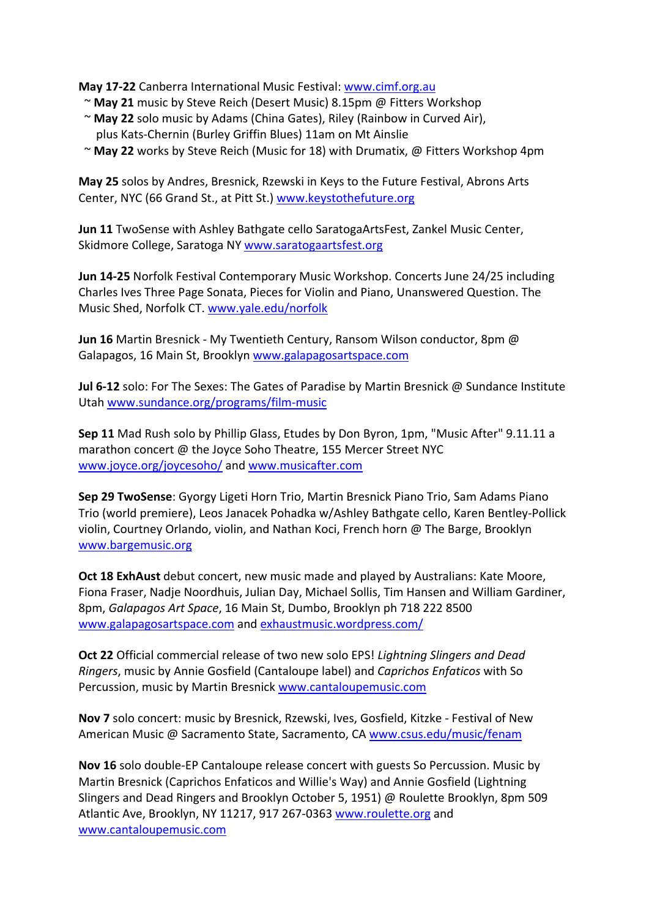**May 17‐22** Canberra International Music Festival: www.cimf.org.au

- ~ **May 21** music by Steve Reich (Desert Music) 8.15pm @ Fitters Workshop
- ~ **May 22** solo music by Adams (China Gates), Riley (Rainbow in Curved Air), plus Kats‐Chernin (Burley Griffin Blues) 11am on Mt Ainslie
- ~ **May 22** works by Steve Reich (Music for 18) with Drumatix, @ Fitters Workshop 4pm

**May 25** solos by Andres, Bresnick, Rzewski in Keys to the Future Festival, Abrons Arts Center, NYC (66 Grand St., at Pitt St.) www.keystothefuture.org

**Jun 11** TwoSense with Ashley Bathgate cello SaratogaArtsFest, Zankel Music Center, Skidmore College, Saratoga NY www.saratogaartsfest.org

**Jun 14‐25** Norfolk Festival Contemporary Music Workshop. Concerts June 24/25 including Charles Ives Three Page Sonata, Pieces for Violin and Piano, Unanswered Question. The Music Shed, Norfolk CT. www.yale.edu/norfolk

**Jun 16** Martin Bresnick ‐ My Twentieth Century, Ransom Wilson conductor, 8pm @ Galapagos, 16 Main St, Brooklyn www.galapagosartspace.com

**Jul 6‐12** solo: For The Sexes: The Gates of Paradise by Martin Bresnick @ Sundance Institute Utah www.sundance.org/programs/film‐music

**Sep 11** Mad Rush solo by Phillip Glass, Etudes by Don Byron, 1pm, "Music After" 9.11.11 a marathon concert @ the Joyce Soho Theatre, 155 Mercer Street NYC www.joyce.org/joycesoho/ and www.musicafter.com

**Sep 29 TwoSense**: Gyorgy Ligeti Horn Trio, Martin Bresnick Piano Trio, Sam Adams Piano Trio (world premiere), Leos Janacek Pohadka w/Ashley Bathgate cello, Karen Bentley‐Pollick violin, Courtney Orlando, violin, and Nathan Koci, French horn @ The Barge, Brooklyn www.bargemusic.org

**Oct 18 ExhAust** debut concert, new music made and played by Australians: Kate Moore, Fiona Fraser, Nadje Noordhuis, Julian Day, Michael Sollis, Tim Hansen and William Gardiner, 8pm, *Galapagos Art Space*, 16 Main St, Dumbo, Brooklyn ph 718 222 8500 www.galapagosartspace.com and exhaustmusic.wordpress.com/

**Oct 22** Official commercial release of two new solo EPS! *Lightning Slingers and Dead Ringers*, music by Annie Gosfield (Cantaloupe label) and *Caprichos Enfaticos* with So Percussion, music by Martin Bresnick www.cantaloupemusic.com

**Nov 7** solo concert: music by Bresnick, Rzewski, Ives, Gosfield, Kitzke ‐ Festival of New American Music @ Sacramento State, Sacramento, CA www.csus.edu/music/fenam

**Nov 16** solo double‐EP Cantaloupe release concert with guests So Percussion. Music by Martin Bresnick (Caprichos Enfaticos and Willie's Way) and Annie Gosfield (Lightning Slingers and Dead Ringers and Brooklyn October 5, 1951) @ Roulette Brooklyn, 8pm 509 Atlantic Ave, Brooklyn, NY 11217, 917 267‐0363 www.roulette.org and www.cantaloupemusic.com